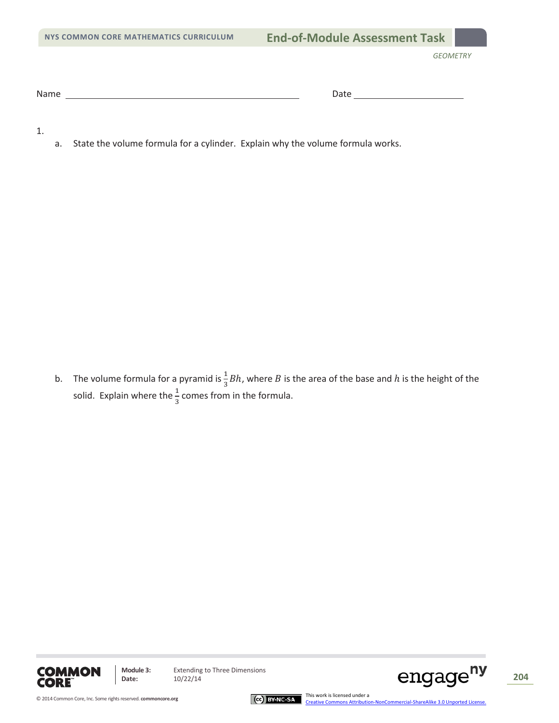Name Date

1.

a. State the volume formula for a cylinder. Explain why the volume formula works.

b. The volume formula for a pyramid is  $\frac{1}{3}Bh$ , where B is the area of the base and h is the height of the solid. Explain where the  $\frac{1}{3}$  comes from in the formula.



**Module 3:** Extending to Three Dimensions<br>Date: 10/22/14 Module 3: Extending to Three Dimensions **204 204 204 204 204 204 204** 

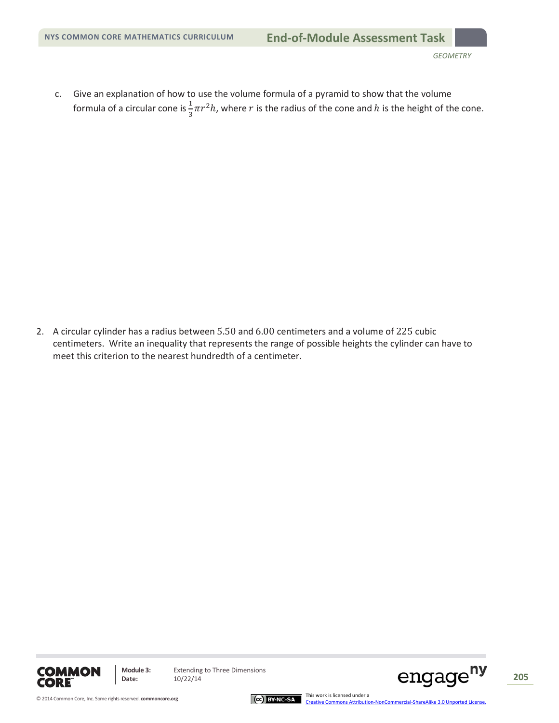c. Give an explanation of how to use the volume formula of a pyramid to show that the volume formula of a circular cone is  $\frac{1}{3}\pi r^2 h$ , where  $r$  is the radius of the cone and  $h$  is the height of the cone.

2. A circular cylinder has a radius between 5.50 and 6.00 centimeters and a volume of 225 cubic centimeters. Write an inequality that represents the range of possible heights the cylinder can have to meet this criterion to the nearest hundredth of a centimeter.



**Module 3:** Extending to Three Dimensions<br>Date:  $10/22/14$ 

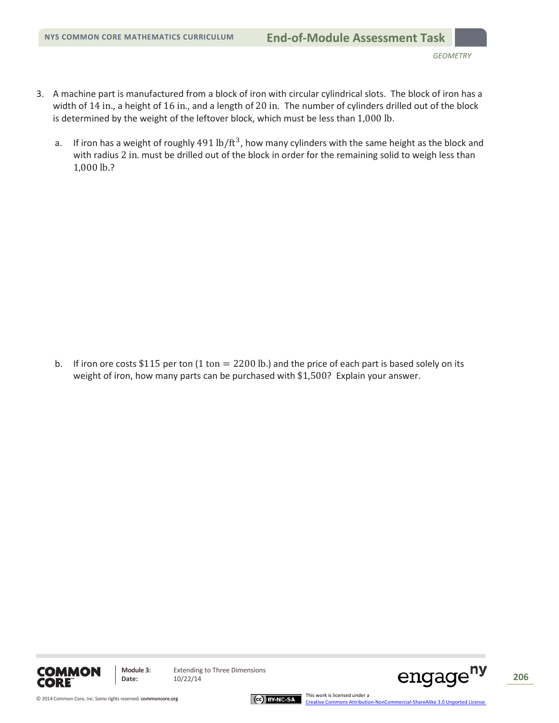- 3. A machine part is manufactured from a block of iron with circular cylindrical slots. The block of iron has a width of 14 in., a height of 16 in., and a length of 20 in*.* The number of cylinders drilled out of the block is determined by the weight of the leftover block, which must be less than 1,000 lb.
	- a. If iron has a weight of roughly  $491$  lb/ft<sup>3</sup>, how many cylinders with the same height as the block and with radius 2 in. must be drilled out of the block in order for the remaining solid to weigh less than 1,000 lb.?

b. If iron ore costs \$115 per ton  $(1 \text{ ton} = 2200 \text{ lb})$  and the price of each part is based solely on its weight of iron, how many parts can be purchased with \$1,500? Explain your answer.



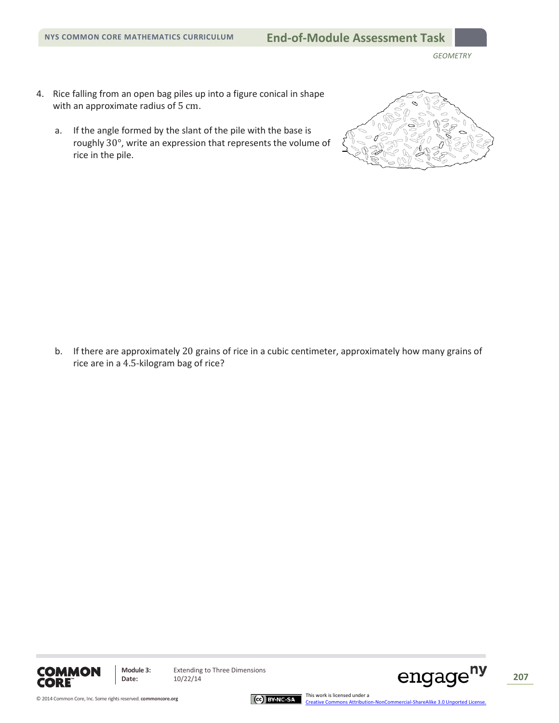- 4. Rice falling from an open bag piles up into a figure conical in shape with an approximate radius of 5 cm.
	- a. If the angle formed by the slant of the pile with the base is roughly 30°, write an expression that represents the volume of rice in the pile.



b. If there are approximately 20 grains of rice in a cubic centimeter, approximately how many grains of rice are in a 4.5-kilogram bag of rice?





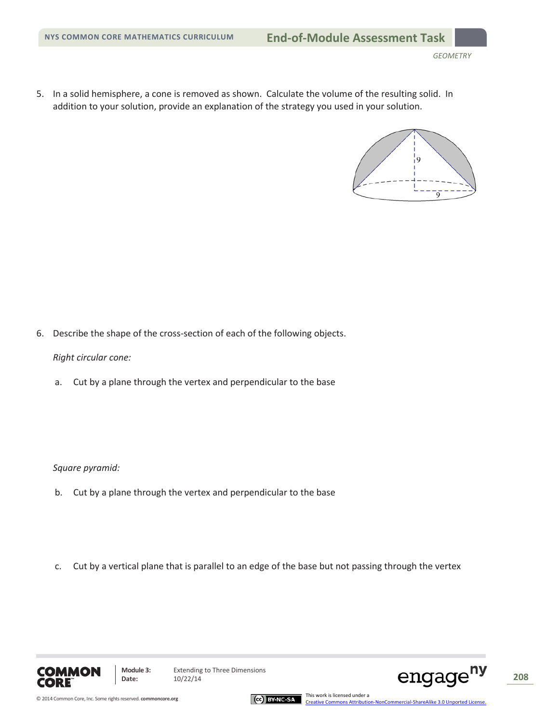5. In a solid hemisphere, a cone is removed as shown. Calculate the volume of the resulting solid. In addition to your solution, provide an explanation of the strategy you used in your solution.



6. Describe the shape of the cross-section of each of the following objects.

## *Right circular cone:*

a. Cut by a plane through the vertex and perpendicular to the base

*Square pyramid:*

- b. Cut by a plane through the vertex and perpendicular to the base
- c. Cut by a vertical plane that is parallel to an edge of the base but not passing through the vertex





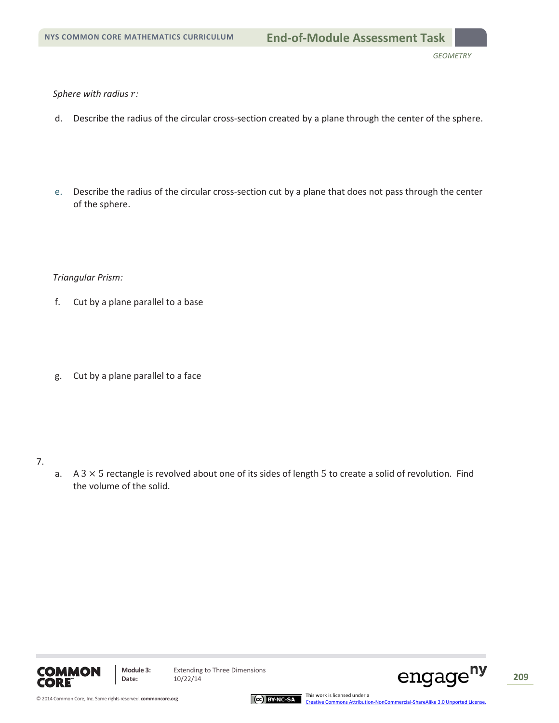#### Sphere with radius  $r$ :

- d. Describe the radius of the circular cross-section created by a plane through the center of the sphere.
- e. Describe the radius of the circular cross-section cut by a plane that does not pass through the center of the sphere.

## *Triangular Prism:*

- f. Cut by a plane parallel to a base
- g. Cut by a plane parallel to a face

## 7.

a.  $A$  3  $\times$  5 rectangle is revolved about one of its sides of length 5 to create a solid of revolution. Find the volume of the solid.



**Module 3:** Extending to Three Dimensions<br>Date:  $10/22/14$ 



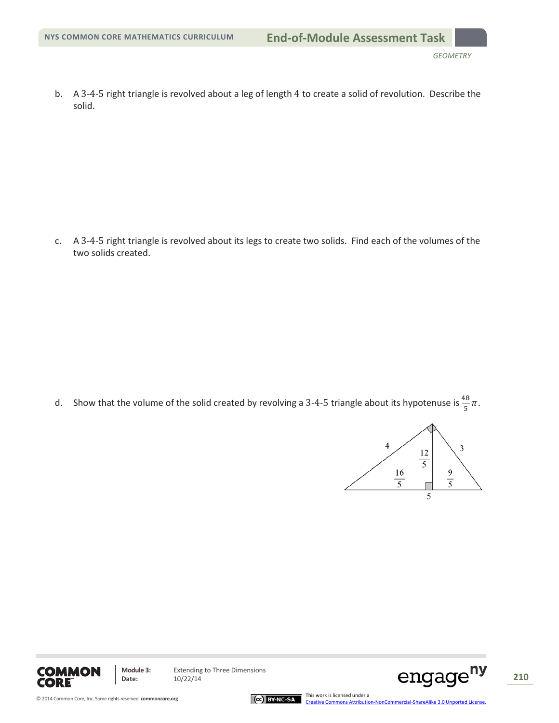b. A 3-4-5 right triangle is revolved about a leg of length 4 to create a solid of revolution. Describe the solid.

c. A 3-4-5 right triangle is revolved about its legs to create two solids. Find each of the volumes of the two solids created.

d. Show that the volume of the solid created by revolving a 3-4-5 triangle about its hypotenuse is  $\frac{48}{5}\pi$ .





**Module 3:** Extending to Three Dimensions<br>Date:  $10/22/14$ 



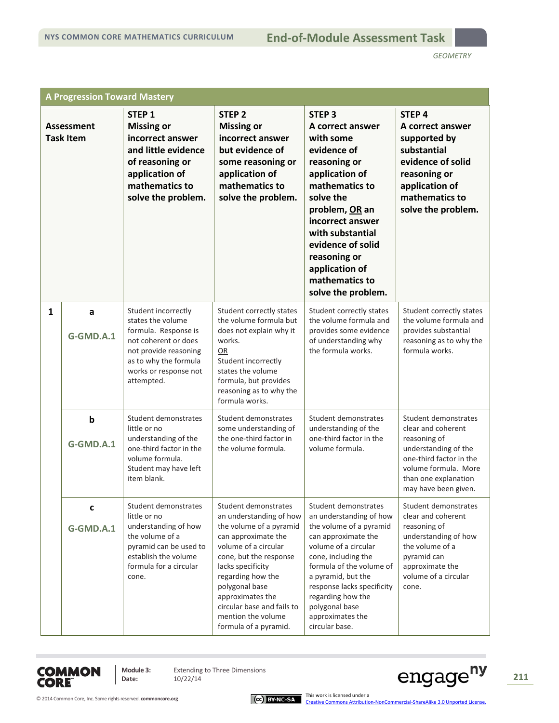*GEOMETRY*

| <b>A Progression Toward Mastery</b>   |                          |                                                                                                                                                                                   |                                                                                                                                                                                                                                                                                                                  |                                                                                                                                                                                                                                                                                                               |                                                                                                                                                                                       |
|---------------------------------------|--------------------------|-----------------------------------------------------------------------------------------------------------------------------------------------------------------------------------|------------------------------------------------------------------------------------------------------------------------------------------------------------------------------------------------------------------------------------------------------------------------------------------------------------------|---------------------------------------------------------------------------------------------------------------------------------------------------------------------------------------------------------------------------------------------------------------------------------------------------------------|---------------------------------------------------------------------------------------------------------------------------------------------------------------------------------------|
| <b>Assessment</b><br><b>Task Item</b> |                          | STEP <sub>1</sub><br><b>Missing or</b><br>incorrect answer<br>and little evidence<br>of reasoning or<br>application of<br>mathematics to<br>solve the problem.                    | STEP <sub>2</sub><br><b>Missing or</b><br>incorrect answer<br>but evidence of<br>some reasoning or<br>application of<br>mathematics to<br>solve the problem.                                                                                                                                                     | <b>STEP 3</b><br>A correct answer<br>with some<br>evidence of<br>reasoning or<br>application of<br>mathematics to<br>solve the<br>problem, OR an<br>incorrect answer<br>with substantial<br>evidence of solid<br>reasoning or<br>application of<br>mathematics to<br>solve the problem.                       | STEP <sub>4</sub><br>A correct answer<br>supported by<br>substantial<br>evidence of solid<br>reasoning or<br>application of<br>mathematics to<br>solve the problem.                   |
| $\mathbf{1}$                          | a<br>G-GMD.A.1           | Student incorrectly<br>states the volume<br>formula. Response is<br>not coherent or does<br>not provide reasoning<br>as to why the formula<br>works or response not<br>attempted. | Student correctly states<br>the volume formula but<br>does not explain why it<br>works.<br>OR<br>Student incorrectly<br>states the volume<br>formula, but provides<br>reasoning as to why the<br>formula works.                                                                                                  | Student correctly states<br>the volume formula and<br>provides some evidence<br>of understanding why<br>the formula works.                                                                                                                                                                                    | Student correctly states<br>the volume formula and<br>provides substantial<br>reasoning as to why the<br>formula works.                                                               |
|                                       | $\mathbf b$<br>G-GMD.A.1 | Student demonstrates<br>little or no<br>understanding of the<br>one-third factor in the<br>volume formula.<br>Student may have left<br>item blank.                                | Student demonstrates<br>some understanding of<br>the one-third factor in<br>the volume formula.                                                                                                                                                                                                                  | Student demonstrates<br>understanding of the<br>one-third factor in the<br>volume formula.                                                                                                                                                                                                                    | Student demonstrates<br>clear and coherent<br>reasoning of<br>understanding of the<br>one-third factor in the<br>volume formula. More<br>than one explanation<br>may have been given. |
|                                       | c<br>G-GMD.A.1           | Student demonstrates<br>little or no<br>understanding of how<br>the volume of a<br>pyramid can be used to<br>establish the volume<br>formula for a circular<br>cone.              | Student demonstrates<br>an understanding of how<br>the volume of a pyramid<br>can approximate the<br>volume of a circular<br>cone, but the response<br>lacks specificity<br>regarding how the<br>polygonal base<br>approximates the<br>circular base and fails to<br>mention the volume<br>formula of a pyramid. | Student demonstrates<br>an understanding of how<br>the volume of a pyramid<br>can approximate the<br>volume of a circular<br>cone, including the<br>formula of the volume of<br>a pyramid, but the<br>response lacks specificity<br>regarding how the<br>polygonal base<br>approximates the<br>circular base. | Student demonstrates<br>clear and coherent<br>reasoning of<br>understanding of how<br>the volume of a<br>pyramid can<br>approximate the<br>volume of a circular<br>cone.              |



**Module 3:** Extending to Three Dimensions<br>Date:  $10/22/14$ 

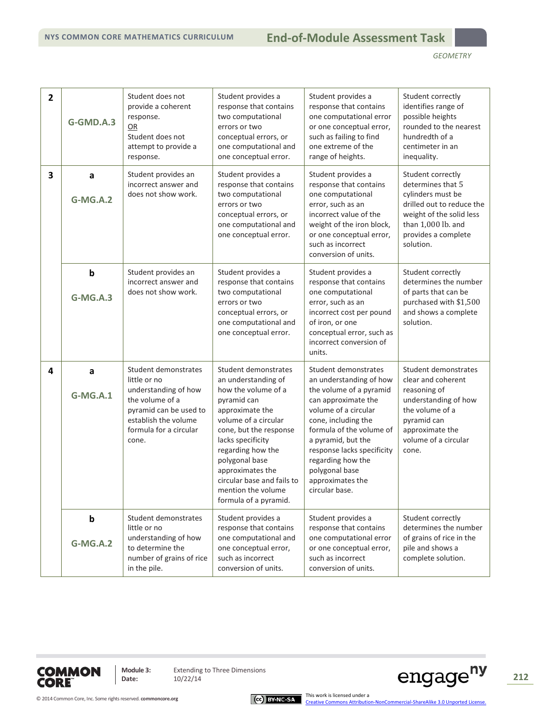## **NYS COMMON CORE MATHEMATICS CURRICULUM M3 End-of-Module Assessment Task**

| $\overline{2}$ | G-GMD.A.3                      | Student does not<br>provide a coherent<br>response.<br>OR<br>Student does not<br>attempt to provide a<br>response.                                                   | Student provides a<br>response that contains<br>two computational<br>errors or two<br>conceptual errors, or<br>one computational and<br>one conceptual error.                                                                                                                                                       | Student provides a<br>response that contains<br>one computational error<br>or one conceptual error,<br>such as failing to find<br>one extreme of the<br>range of heights.                                                                                                                                     | Student correctly<br>identifies range of<br>possible heights<br>rounded to the nearest<br>hundredth of a<br>centimeter in an<br>inequality.                                    |
|----------------|--------------------------------|----------------------------------------------------------------------------------------------------------------------------------------------------------------------|---------------------------------------------------------------------------------------------------------------------------------------------------------------------------------------------------------------------------------------------------------------------------------------------------------------------|---------------------------------------------------------------------------------------------------------------------------------------------------------------------------------------------------------------------------------------------------------------------------------------------------------------|--------------------------------------------------------------------------------------------------------------------------------------------------------------------------------|
| 3              | a<br><b>G-MG.A.2</b>           | Student provides an<br>incorrect answer and<br>does not show work.                                                                                                   | Student provides a<br>response that contains<br>two computational<br>errors or two<br>conceptual errors, or<br>one computational and<br>one conceptual error.                                                                                                                                                       | Student provides a<br>response that contains<br>one computational<br>error, such as an<br>incorrect value of the<br>weight of the iron block,<br>or one conceptual error,<br>such as incorrect<br>conversion of units.                                                                                        | Student correctly<br>determines that 5<br>cylinders must be<br>drilled out to reduce the<br>weight of the solid less<br>than 1,000 lb. and<br>provides a complete<br>solution. |
|                | $\mathbf b$<br>G-MG.A.3        | Student provides an<br>incorrect answer and<br>does not show work.                                                                                                   | Student provides a<br>response that contains<br>two computational<br>errors or two<br>conceptual errors, or<br>one computational and<br>one conceptual error.                                                                                                                                                       | Student provides a<br>response that contains<br>one computational<br>error, such as an<br>incorrect cost per pound<br>of iron, or one<br>conceptual error, such as<br>incorrect conversion of<br>units.                                                                                                       | Student correctly<br>determines the number<br>of parts that can be<br>purchased with \$1,500<br>and shows a complete<br>solution.                                              |
| 4              | a<br><b>G-MG.A.1</b>           | Student demonstrates<br>little or no<br>understanding of how<br>the volume of a<br>pyramid can be used to<br>establish the volume<br>formula for a circular<br>cone. | Student demonstrates<br>an understanding of<br>how the volume of a<br>pyramid can<br>approximate the<br>volume of a circular<br>cone, but the response<br>lacks specificity<br>regarding how the<br>polygonal base<br>approximates the<br>circular base and fails to<br>mention the volume<br>formula of a pyramid. | Student demonstrates<br>an understanding of how<br>the volume of a pyramid<br>can approximate the<br>volume of a circular<br>cone, including the<br>formula of the volume of<br>a pyramid, but the<br>response lacks specificity<br>regarding how the<br>polygonal base<br>approximates the<br>circular base. | Student demonstrates<br>clear and coherent<br>reasoning of<br>understanding of how<br>the volume of a<br>pyramid can<br>approximate the<br>volume of a circular<br>cone.       |
|                | $\mathbf b$<br><b>G-MG.A.2</b> | Student demonstrates<br>little or no<br>understanding of how<br>to determine the<br>number of grains of rice<br>in the pile.                                         | Student provides a<br>response that contains<br>one computational and<br>one conceptual error,<br>such as incorrect<br>conversion of units.                                                                                                                                                                         | Student provides a<br>response that contains<br>one computational error<br>or one conceptual error,<br>such as incorrect<br>conversion of units.                                                                                                                                                              | Student correctly<br>determines the number<br>of grains of rice in the<br>pile and shows a<br>complete solution.                                                               |



**Module 3:** Extending to Three Dimensions<br>Date:  $10/22/14$ 

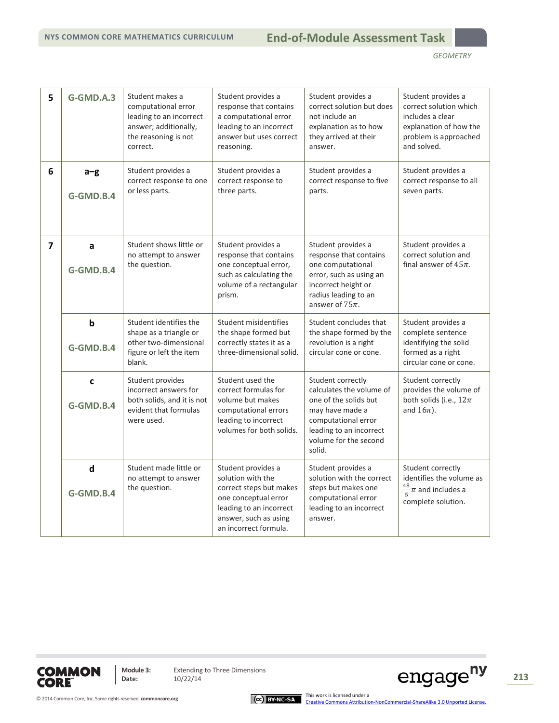# **NYS COMMON CORE MATHEMATICS CURRICULUM M3 End-of-Module Assessment Task**

| 5              | G-GMD.A.3                | Student makes a<br>computational error<br>leading to an incorrect<br>answer; additionally,<br>the reasoning is not<br>correct. | Student provides a<br>response that contains<br>a computational error<br>leading to an incorrect<br>answer but uses correct<br>reasoning.                               | Student provides a<br>correct solution but does<br>not include an<br>explanation as to how<br>they arrived at their<br>answer.                                                 | Student provides a<br>correct solution which<br>includes a clear<br>explanation of how the<br>problem is approached<br>and solved. |
|----------------|--------------------------|--------------------------------------------------------------------------------------------------------------------------------|-------------------------------------------------------------------------------------------------------------------------------------------------------------------------|--------------------------------------------------------------------------------------------------------------------------------------------------------------------------------|------------------------------------------------------------------------------------------------------------------------------------|
| 6              | $a-g$<br>G-GMD.B.4       | Student provides a<br>correct response to one<br>or less parts.                                                                | Student provides a<br>correct response to<br>three parts.                                                                                                               | Student provides a<br>correct response to five<br>parts.                                                                                                                       | Student provides a<br>correct response to all<br>seven parts.                                                                      |
| $\overline{7}$ | a<br>G-GMD.B.4           | Student shows little or<br>no attempt to answer<br>the question.                                                               | Student provides a<br>response that contains<br>one conceptual error,<br>such as calculating the<br>volume of a rectangular<br>prism.                                   | Student provides a<br>response that contains<br>one computational<br>error, such as using an<br>incorrect height or<br>radius leading to an<br>answer of $75\pi$ .             | Student provides a<br>correct solution and<br>final answer of $45\pi$ .                                                            |
|                | $\mathbf b$<br>G-GMD.B.4 | Student identifies the<br>shape as a triangle or<br>other two-dimensional<br>figure or left the item<br>blank.                 | Student misidentifies<br>the shape formed but<br>correctly states it as a<br>three-dimensional solid.                                                                   | Student concludes that<br>the shape formed by the<br>revolution is a right<br>circular cone or cone.                                                                           | Student provides a<br>complete sentence<br>identifying the solid<br>formed as a right<br>circular cone or cone.                    |
|                | $\mathbf c$<br>G-GMD.B.4 | Student provides<br>incorrect answers for<br>both solids, and it is not<br>evident that formulas<br>were used.                 | Student used the<br>correct formulas for<br>volume but makes<br>computational errors<br>leading to incorrect<br>volumes for both solids.                                | Student correctly<br>calculates the volume of<br>one of the solids but<br>may have made a<br>computational error<br>leading to an incorrect<br>volume for the second<br>solid. | Student correctly<br>provides the volume of<br>both solids (i.e., $12\pi$<br>and $16\pi$ ).                                        |
|                | $\mathbf d$<br>G-GMD.B.4 | Student made little or<br>no attempt to answer<br>the question.                                                                | Student provides a<br>solution with the<br>correct steps but makes<br>one conceptual error<br>leading to an incorrect<br>answer, such as using<br>an incorrect formula. | Student provides a<br>solution with the correct<br>steps but makes one<br>computational error<br>leading to an incorrect<br>answer.                                            | Student correctly<br>identifies the volume as<br>$\frac{48}{5}\pi$ and includes a<br>complete solution.                            |



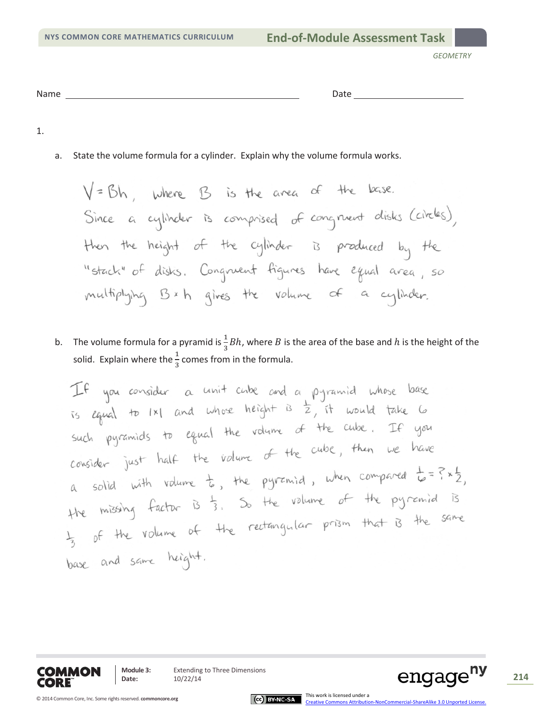*GEOMETRY*

| . .<br>N2<br>. | . |  |
|----------------|---|--|
|                |   |  |

1.

a. State the volume formula for a cylinder. Explain why the volume formula works.

 $V = Bh$ , where  $B$  is the area of the base. Since a cylinder is comprised of congruent disks (circles), then the height of the cylinder is produced by the "stack" of disks. Congruent figures have equal area, so multiplying Bxh gives the volume of a cylinder.

b. The volume formula for a pyramid is  $\frac{1}{3}Bh$ , where B is the area of the base and h is the height of the solid. Explain where the  $\frac{1}{3}$  comes from in the formula.

If you consider a unit cube and a pyramid whose base is equal to  $|x|$  and whose height is  $\frac{1}{2}$ , it would take 6 such pyramids to equal the volume of the cube. If you such pyramics to equal the volume of the cube, then we have consider just have to, the pyramid, when compared  $t = 2 \times 2$ ,<br>a solid with volume to, the pyramid, when compared  $t = 2 \times 2$ , a solid win value is, it is the valume of the pyremid is the missing tactor is 3. So living prism that is the same base and same height.





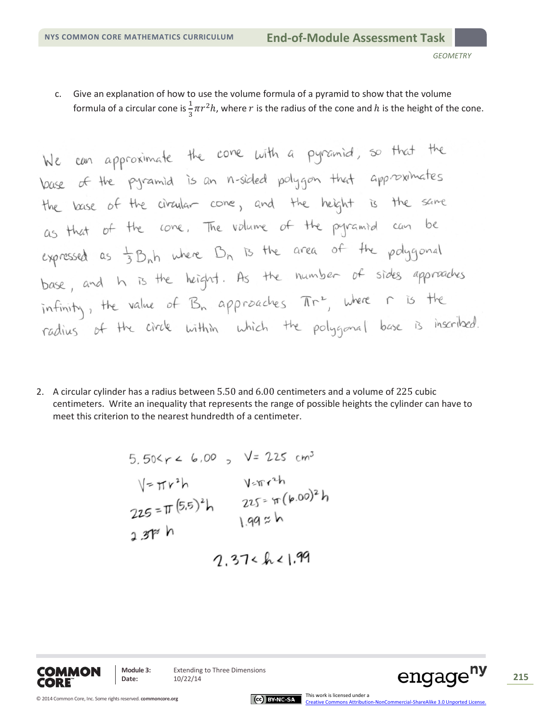$\mathbf{r}$ 

c. Give an explanation of how to use the volume formula of a pyramid to show that the volume formula of a circular cone is  $\frac{1}{3}\pi r^2 h$ , where  $r$  is the radius of the cone and  $h$  is the height of the cone.

We can approximate the cone with a pyramid, so that the  
base of the pyramid is an n-sided polygon that approaches  
the base of the circular cone, and the height is the same  
as that of the cone. The volume of the pyramid can be  
expressed as 
$$
\frac{1}{3}B_n h
$$
 where  $B_n$  is the area of the polygonal  
base, and h is the height. As the number of sides approaches  
infinity, the value of  $B_n$  approaches  $\pi r^2$ , where r is the  
radius of the circle within which the polygonal base is inscribed.

2. A circular cylinder has a radius between 5.50 and 6.00 centimeters and a volume of 225 cubic centimeters. Write an inequality that represents the range of possible heights the cylinder can have to meet this criterion to the nearest hundredth of a centimeter.

5.50
$$
\times
$$
r < 6.00,  $\sqrt{225}$  cm<sup>3</sup>  
\n $\sqrt{777}$   
\n225 =  $\pi (5.5)^2 h$   
\n225 =  $\pi (6.00)^2 h$   
\n225 =  $\pi (6.00)^2 h$   
\n225 =  $\pi (6.00)^2 h$   
\n225 =  $\pi (6.00)^2 h$   
\n225 =  $\pi (6.00)^2 h$   
\n225 =  $\pi (6.00)^2 h$ 



**Module 3:** Extending to Three Dimensions<br>Date:  $10/22/14$ Module 3: Extending to Three Dimensions **215**<br>Date: 10/22/14 **215** 

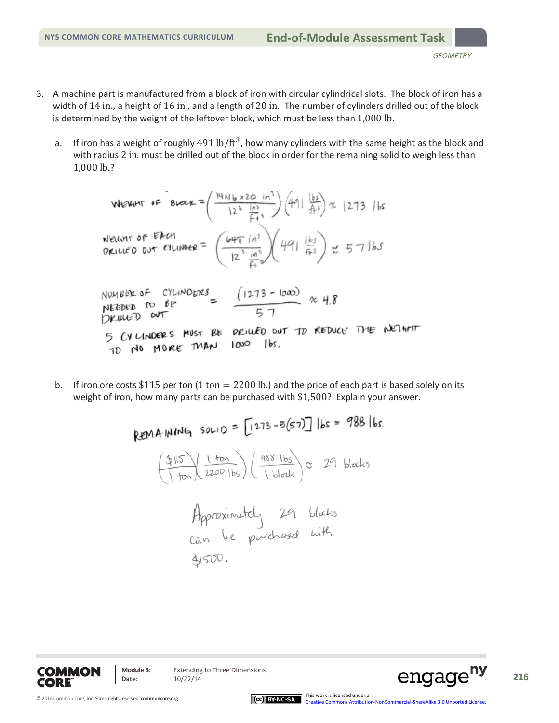- 3. A machine part is manufactured from a block of iron with circular cylindrical slots. The block of iron has a width of 14 in., a height of 16 in., and a length of 20 in. The number of cylinders drilled out of the block is determined by the weight of the leftover block, which must be less than 1,000 lb.
	- a. If iron has a weight of roughly  $491$  lb/ft<sup>3</sup>, how many cylinders with the same height as the block and with radius 2 in. must be drilled out of the block in order for the remaining solid to weigh less than 1,000 lb.?

When 
$$
f = B\sqrt{\alpha} = \left(\frac{44 \times 6 \times 20 \text{ m}^3}{12^3 \frac{16^3}{12^3}}\right) (491 \frac{165}{12^3}) \approx 1273
$$
 lbs  
\n $\sqrt{\alpha} = 57$   
\n $\sqrt{\alpha} = 1273$  lbs  
\n $\sqrt{\alpha} = 1273$   
\n $\sqrt{\alpha} = 1273$   
\n $\sqrt{\alpha} = 1273$   
\n $\sqrt{\alpha} = 1273$   
\n $\sqrt{\alpha} = 1273$   
\n $\sqrt{\alpha} = 1273$   
\n $\sqrt{\alpha} = 1273$   
\n $\sqrt{\alpha} = 1273$   
\n $\sqrt{\alpha} = 1273$   
\n $\sqrt{\alpha} = 1273$   
\n $\sqrt{\alpha} = 1273$   
\n $\sqrt{\alpha} = 1273$   
\n $\sqrt{\alpha} = 1273$   
\n $\sqrt{\alpha} = 1273$   
\n $\sqrt{\alpha} = 1273$   
\n $\sqrt{\alpha} = 1273$   
\n $\sqrt{\alpha} = 1273$   
\n $\sqrt{\alpha} = 1273$   
\n $\sqrt{\alpha} = 1273$   
\n $\sqrt{\alpha} = 1273$   
\n $\sqrt{\alpha} = 1273$   
\n $\sqrt{\alpha} = 1273$   
\n $\sqrt{\alpha} = 1273$   
\n $\sqrt{\alpha} = 1273$   
\n $\sqrt{\alpha} = 1273$   
\n $\sqrt{\alpha} = 1273$   
\n $\sqrt{\alpha} = 1273$   
\n $\sqrt{\alpha} = 1273$   
\n $\sqrt{\alpha} = 1273$   
\n $\sqrt{\alpha} = 1273$   
\n $\sqrt{\alpha} = 1273$   
\n $\sqrt{\alpha} = 1273$   
\n $\sqrt{\alpha} = 1273$   
\n $\sqrt{\alpha} = 1273$ 

b. If iron ore costs \$115 per ton  $(1 \text{ ton} = 2200 \text{ lb})$  and the price of each part is based solely on its weight of iron, how many parts can be purchased with \$1,500? Explain your answer.

> REMAINING SOLID =  $[1273 - 5(57)]$  lbs = 988 lbs.  $\frac{(1 + 5)}{1 + 2200}$  (1  $\frac{488 \text{ lbs}}{1 \text{ black}}$ )  $\approx$  29 blocks Approximately 29 blacks 41500.





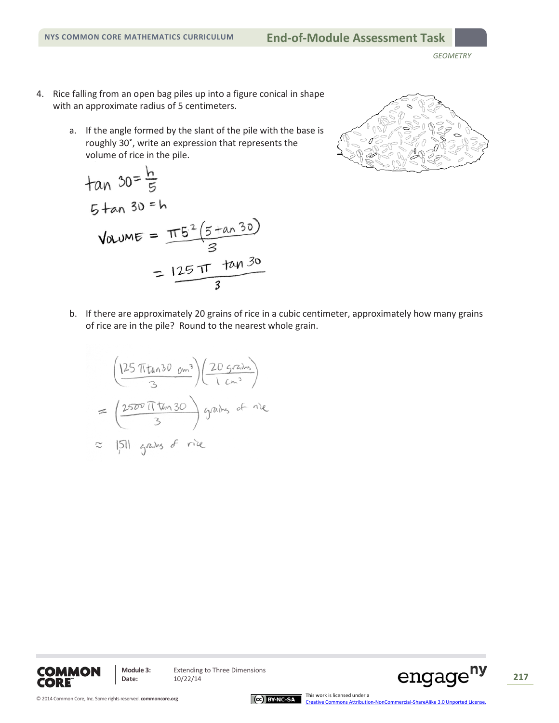*GEOMETRY*

- 4. Rice falling from an open bag piles up into a figure conical in shape with an approximate radius of 5 centimeters.
	- a. If the angle formed by the slant of the pile with the base is roughly 30˚, write an expression that represents the volume of rice in the pile.

tan 30 = 
$$
\frac{h}{5}
$$
  
\n5 tan 30 = h  
\nVolume =  $\frac{\pi 5^{2} (5 \tan 30)}{3}$   
\n=  $\frac{125 \pi \tan 30}{3}$ 



b. If there are approximately 20 grains of rice in a cubic centimeter, approximately how many grains of rice are in the pile? Round to the nearest whole grain.

$$
\left(\frac{125 \pi \tan 30 \text{ cm}^3}{3}\right)\left(\frac{20 \text{ grains}}{1 \text{ cm}^3}\right)
$$
  
= 
$$
\left(\frac{2500 \text{ if } \tan 30}{3}\right) \text{ grains of } \text{meas}
$$
  

$$
\approx |51| \text{ grains of } \text{rite}
$$



**Module 3:** Extending to Three Dimensions<br>Date:  $10/22/14$ Module 3: Extending to Three Dimensions<br>Date: 10/22/14 12/22/14

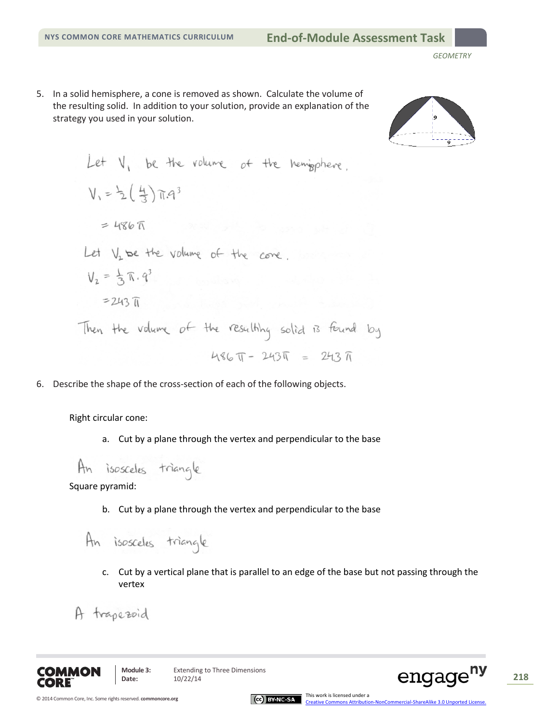5. In a solid hemisphere, a cone is removed as shown. Calculate the volume of the resulting solid. In addition to your solution, provide an explanation of the strategy you used in your solution.



Let V<sub>1</sub> be the volume of the hemisphere.  
\n
$$
V_1 = \frac{1}{2}(\frac{4}{3})\pi a^3
$$
  
\n= 486 $\pi$   
\nLet V<sub>2</sub> be the volume of the cone.  
\n $V_2 = \frac{1}{3}\pi .q^3$   
\n= 243 $\pi$   
\nThen the volume of the resatthhg solid is found by  
\n486 $\pi$  - 243 $\pi$  = 243 $\pi$ 

6. Describe the shape of the cross-section of each of the following objects.

Right circular cone:

a. Cut by a plane through the vertex and perpendicular to the base

Square pyramid:

b. Cut by a plane through the vertex and perpendicular to the base

An isosceles triangle

c. Cut by a vertical plane that is parallel to an edge of the base but not passing through the vertex

A trapezoid



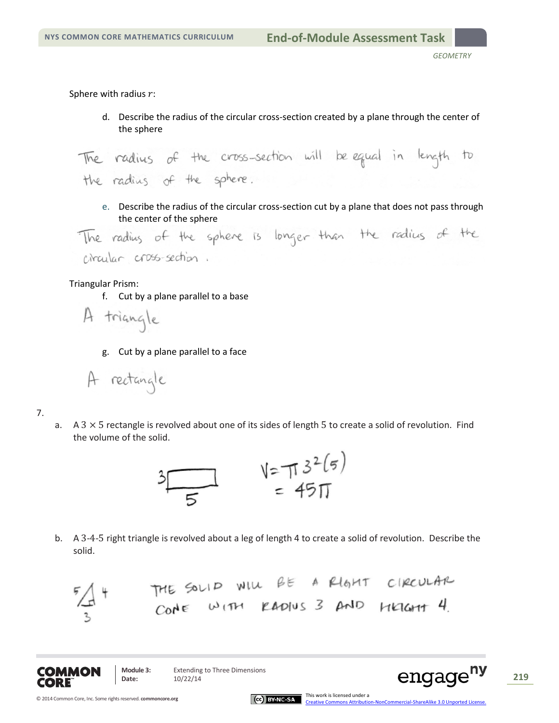Sphere with radius  $r$ :

d. Describe the radius of the circular cross-section created by a plane through the center of the sphere

The radius of the cross-section will be equal in length to the radius of the sphere.

e. Describe the radius of the circular cross-section cut by a plane that does not pass through

the center of the sphere is longer than the radius of the circular cross-section.

## Triangular Prism:

f. Cut by a plane parallel to a base

A triangle

g. Cut by a plane parallel to a face

A rectangle

7.

a.  $A$  3  $\times$  5 rectangle is revolved about one of its sides of length 5 to create a solid of revolution. Find the volume of the solid.



b. A 3-4-5 right triangle is revolved about a leg of length 4 to create a solid of revolution. Describe the solid.